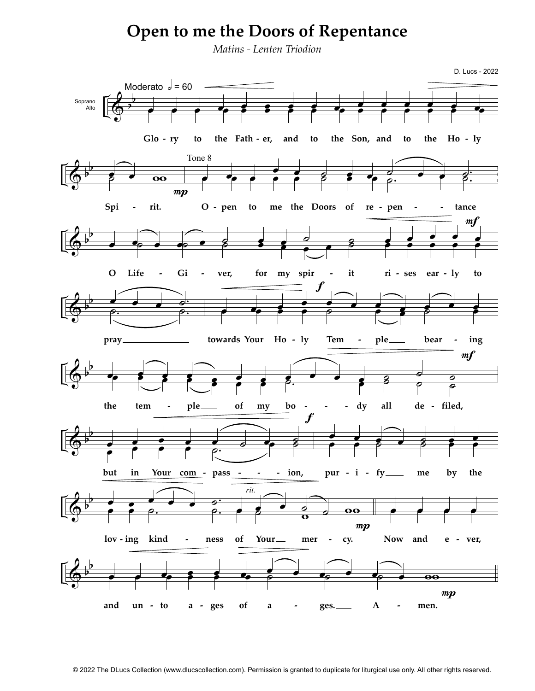## **Open to me the Doors of Repentance**

Matins - Lenten Triodion

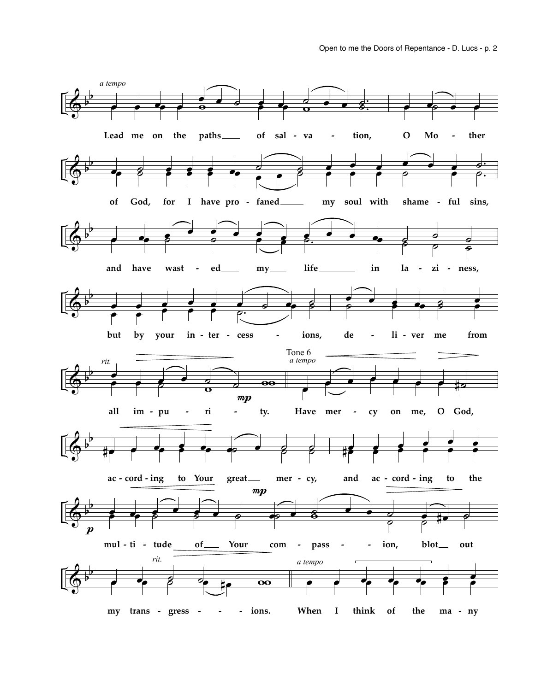